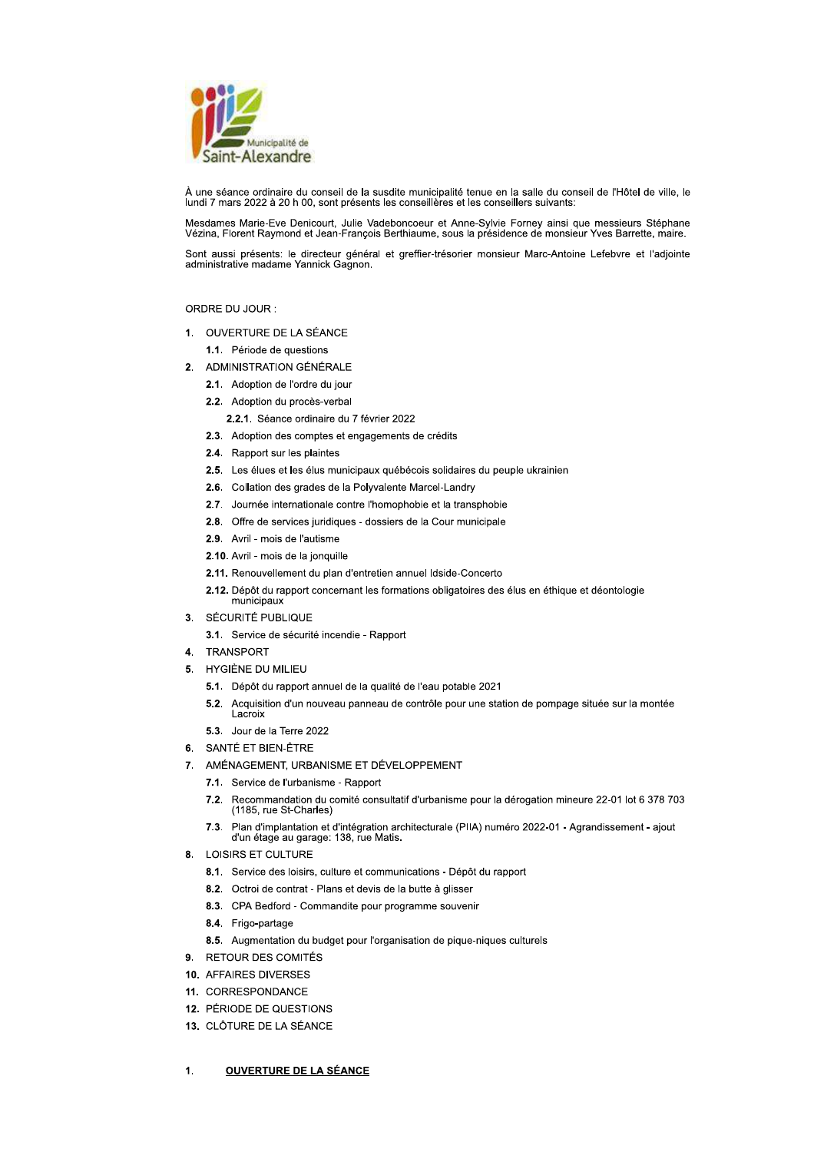

À une séance ordinaire du conseil de la susdite municipalité tenue en la salle du conseil de l'Hôtel de ville, le lundi 7 mars 2022 à 20 h 00, sont présents les conseillères et les conseillers suivants:

Mesdames Marie-Eve Denicourt, Julie Vadeboncoeur et Anne-Sylvie Forney ainsi que messieurs Stéphane<br>Vézina, Florent Raymond et Jean-François Berthiaume, sous la présidence de monsieur Yves Barrette, maire.

Sont aussi présents: le directeur général et greffier-trésorier monsieur Marc-Antoine Lefebvre et l'adjointe administrative madame Yannick Gagnon.

# ORDRE DU JOUR :

- 1. OUVERTURE DE LA SÉANCE
	- 1.1. Période de questions
- 2. ADMINISTRATION GÉNÉRALE
	- 2.1. Adoption de l'ordre du jour
	- 2.2. Adoption du procès-verbal
		- 2.2.1. Séance ordinaire du 7 février 2022
	- 2.3. Adoption des comptes et engagements de crédits
	- 2.4. Rapport sur les plaintes
	- 2.5. Les élues et les élus municipaux québécois solidaires du peuple ukrainien
	- 2.6. Collation des grades de la Polyvalente Marcel-Landry
	- 2.7. Journée internationale contre l'homophobie et la transphobie
	- 2.8. Offre de services juridiques dossiers de la Cour municipale
	- 2.9. Avril mois de l'autisme
	- 2.10. Avril mois de la jonquille
	- 2.11. Renouvellement du plan d'entretien annuel Idside-Concerto
	- 2.12. Dépôt du rapport concernant les formations obligatoires des élus en éthique et déontologie municipaux
- 3. SÉCURITÉ PUBLIQUE
	- 3.1. Service de sécurité incendie Rapport
- 4. TRANSPORT
- 5. HYGIÈNE DU MILIEU
	- 5.1. Dépôt du rapport annuel de la qualité de l'eau potable 2021
	- 5.2. Acquisition d'un nouveau panneau de contrôle pour une station de pompage située sur la montée \_acroix
	- 5.3 Jour de la Terre 2022
- 6. SANTÉ ET BIEN-ÊTRE
- 7. AMÉNAGEMENT, URBANISME ET DÉVELOPPEMENT
	- 7.1. Service de l'urbanisme Rapport
	- $7.2.$ Recommandation du comité consultatif d'urbanisme pour la dérogation mineure 22-01 lot 6 378 703 (1185, rue St-Charles)
	- Plan d'implantation et d'intégration architecturale (PIIA) numéro 2022-01 Agrandissement ajout  $7.3.$ d'un étage au garage: 138, rue Matis.
- 8. LOISIRS ET CULTURE
	- 8.1. Service des loisirs, culture et communications Dépôt du rapport
	- 8.2. Octroi de contrat Plans et devis de la butte à glisser
	- 8.3. CPA Bedford Commandite pour programme souvenir
	- 8.4. Frigo-partage
	- 8.5. Augmentation du budget pour l'organisation de pique-niques culturels
- 9. RETOUR DES COMITÉS
- 10. AFFAIRES DIVERSES
- 11. CORRESPONDANCE
- 12. PÉRIODE DE QUESTIONS
- 13. CLÔTURE DE LA SÉANCE

### 1. **OUVERTURE DE LA SÉANCE**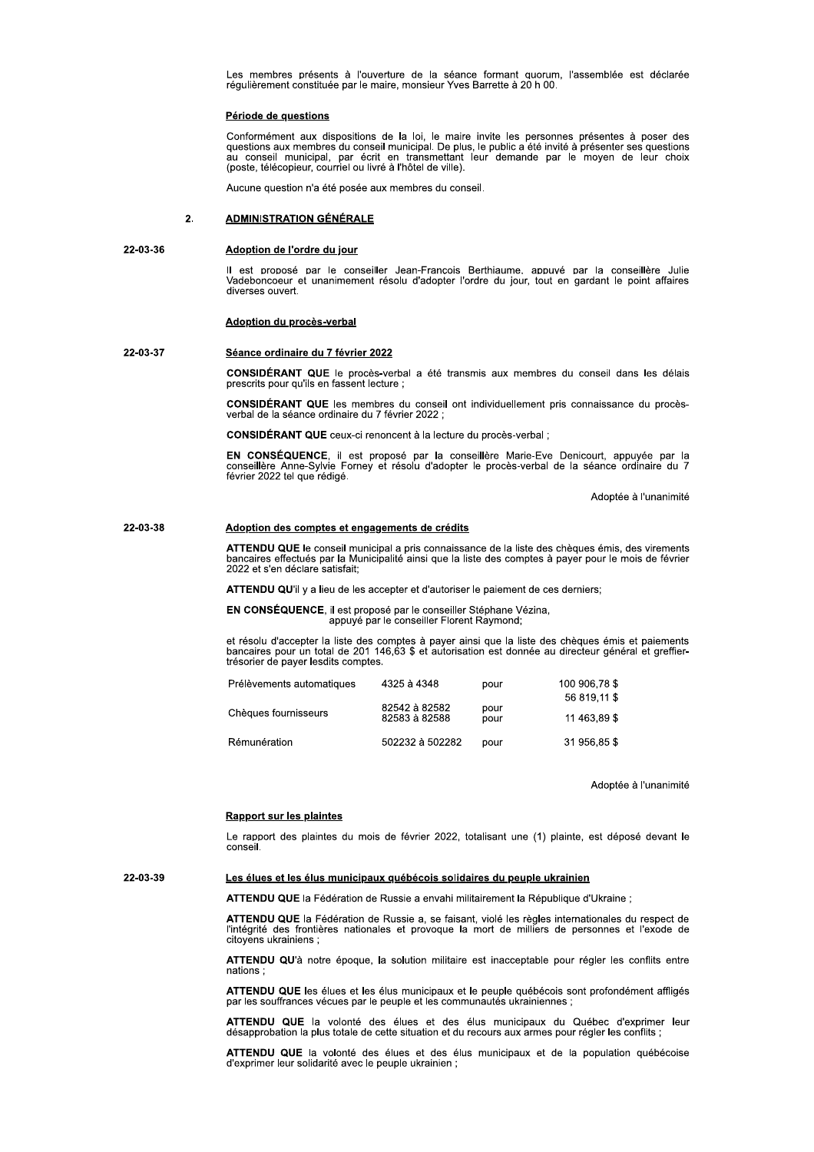Les membres présents à l'ouverture de la séance formant quorum, l'assemblée est déclarée régulièrement constituée par le maire, monsieur Yves Barrette à 20 h 00.

## Période de questions

Conformément aux dispositions de la loi, le maire invite les personnes présentes à poser des questions aux membres du conseil municipal. De plus, le public a été invité à présenter ses questions au conseil municipal, par é (poste, télécopieur, courriel ou livré à l'hôtel de ville).

Aucune question n'a été posée aux membres du conseil.

### $2.$ **ADMINISTRATION GÉNÉRALE**

### 22-03-36 Adoption de l'ordre du jour

Il est proposé par le conseiller Jean-Francois Berthiaume, appuvé par la conseillère Julie<br>Vadeboncoeur et unanimement résolu d'adopter l'ordre du jour, tout en gardant le point affaires diverses ouvert.

## Adoption du procès-verbal

### 22-03-37 Séance ordinaire du 7 février 2022

CONSIDÉRANT QUE le procès-verbal a été transmis aux membres du conseil dans les délais prescrits pour qu'ils en fassent lecture ;

**CONSIDÉRANT QUE** les membres du conseil ont individuellement pris connaissance du procèsverbal de la séance ordinaire du 7 février 2022 ;

CONSIDÉRANT QUE ceux-ci renoncent à la lecture du procès-verbal :

EN CONSÉQUENCE, il est proposé par la conseillère Marie-Eve Denicourt, appuyée par la<br>conseillère Anne-Sylvie Forney et résolu d'adopter le procès-verbal de la séance ordinaire du 7 février 2022 tel que rédigé.

Adoptée à l'unanimité

### 22-03-38 Adoption des comptes et engagements de crédits

ATTENDU QUE le conseil municipal a pris connaissance de la liste des chèques émis, des virements bancaires effectués par la Municipalité ainsi que la liste des comptes à payer pour le mois de février 2022 et s'en déclare satisfait;

ATTENDU QU'il y a lieu de les accepter et d'autoriser le paiement de ces derniers;

EN CONSÉQUENCE, il est proposé par le conseiller Stéphane Vézina, appuyé par le conseiller Florent Raymond;

et résolu d'accepter la liste des comptes à payer ainsi que la liste des chèques émis et paiements bancaires pour un total de 201 146,63 \$ et autorisation est donnée au directeur général et greffier-<br>trésorier de payer les

| Prélèvements automatiques | 4325 à 4348                    | pour         | 100 906.78 \$ |
|---------------------------|--------------------------------|--------------|---------------|
|                           |                                |              | 56 819.11 \$  |
| Chèques fournisseurs      | 82542 à 82582<br>82583 à 82588 | pour<br>pour | 11 463.89 \$  |
| Rémunération              | 502232 à 502282                | pour         | 31 956.85 \$  |

Adoptée à l'unanimité

## **Rapport sur les plaintes**

Le rapport des plaintes du mois de février 2022, totalisant une (1) plainte, est déposé devant le conseil

22-03-39

### Les élues et les élus municipaux québécois solidaires du peuple ukrainien

ATTENDU QUE la Fédération de Russie a envahi militairement la République d'Ukraine ;

ATTENDU QUE la Fédération de Russie a, se faisant, violé les règles internationales du respect de l'intégrité des frontières nationales et provoque la mort de milliers de personnes et l'exode de citovens ukrainiens :

ATTENDU QU'à notre époque, la solution militaire est inacceptable pour régler les conflits entre nations:

ATTENDU QUE les élues et les élus municipaux et le peuple québécois sont profondément affligés par les souffrances vécues par le peuple et les communautés ukrainiennes ;

ATTENDU QUE la volonté des élues et des élus municipaux du Québec d'exprimer leur désapprobation la plus totale de cette situation et du recours aux armes pour régler les conflits ;

ATTENDU QUE la volonté des élues et des élus municipaux et de la population québécoise d'exprimer leur solidarité avec le peuple ukrainien ;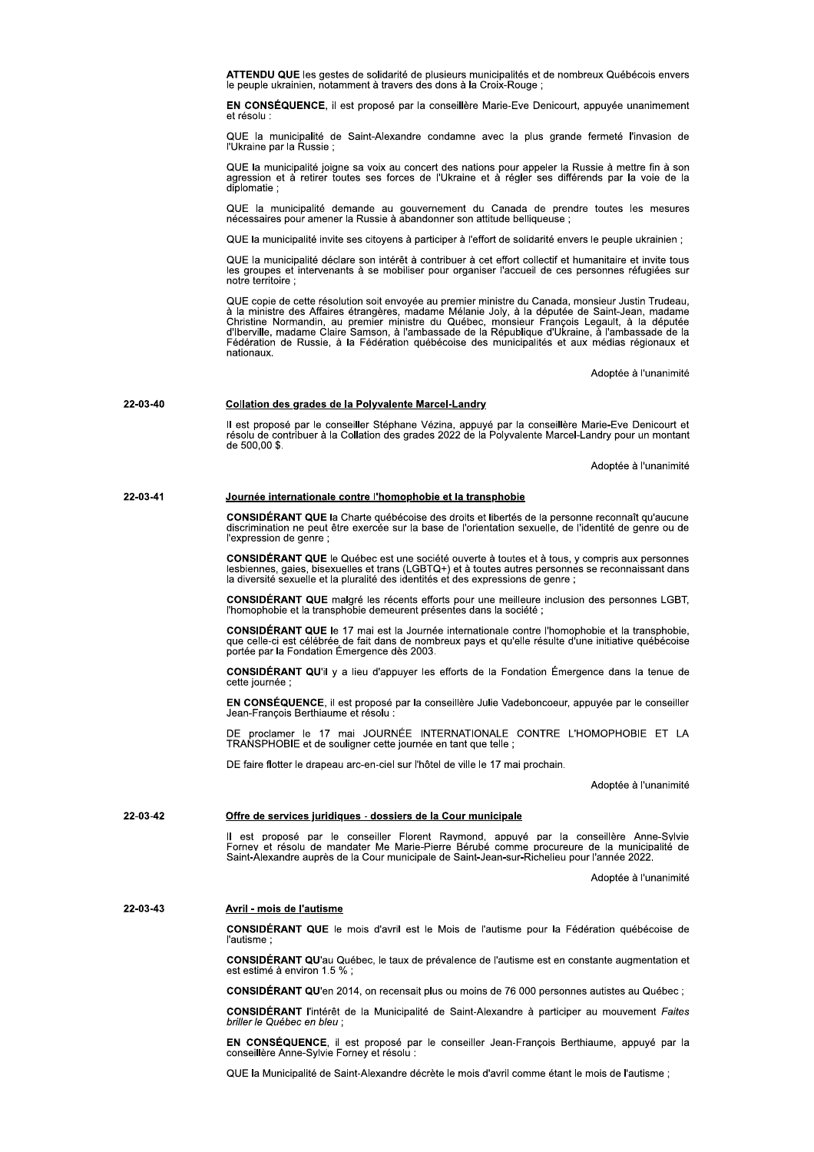ATTENDU QUE les gestes de solidarité de plusieurs municipalités et de nombreux Québécois envers le peuple ukrainien, notamment à travers des dons à la Croix-Rouge;

EN CONSÉQUENCE, il est proposé par la conseillère Marie-Eve Denicourt, appuyée unanimement et résolu :

QUE la municipalité de Saint-Alexandre condamne avec la plus grande fermeté l'invasion de<br>l'Ukraine par la Russie :

QUE la municipalité joigne sa voix au concert des nations pour appeler la Russie à mettre fin à son<br>agression et à retirer toutes ses forces de l'Ukraine et à régler ses différends par la voie de la diplomatie;

QUE la municipalité demande au gouvernement du Canada de prendre toutes les mesures nécessaires pour amener la Russie à abandonner son attitude belliqueuse ;

QUE la municipalité invite ses citoyens à participer à l'effort de solidarité envers le peuple ukrainien :

QUE la municipalité déclare son intérêt à contribuer à cet effort collectif et humanitaire et invite tous les groupes et intervenants à se mobiliser pour organiser l'accueil de ces personnes réfugiées sur notre territoire :

QUE copie de cette résolution soit envoyée au premier ministre du Canada, monsieur Justin Trudeau,<br>à la ministre des Affaires étrangères, madame Mélanie Joly, à la députée de Saint-Jean, madame a la ministra des Antales de la République d'Union de la République d'Unistine Normandin, au premier ministre du Québec, monsieur François Legault, à la députée<br>d'Iberville, madame Claire Samson, à l'ambassade de la Républ nationaux.

Adoptée à l'unanimité

#### 22-03-40 Collation des grades de la Polyvalente Marcel-Landry

Il est proposé par le conseiller Stéphane Vézina, appuyé par la conseillère Marie-Eve Denicourt et<br>résolu de contribuer à la Collation des grades 2022 de la Polyvalente Marcel-Landry pour un montant  $de\ 500,00\$ 

Adoptée à l'unanimité

### 22-03-41 Journée internationale contre l'homophobie et la transphobie

CONSIDÉRANT QUE la Charte québécoise des droits et libertés de la personne reconnaît qu'aucune discrimination ne peut être exercée sur la base de l'orientation sexuelle, de l'identité de genre ou de l'expression de genre;

CONSIDÉRANT QUE le Québec est une société ouverte à toutes et à tous, y compris aux personnes lesbiennes, gaies, bisexuelles et trans (LGBTQ+) et à toutes autres personnes se reconnaissant dans la diversité sexuelle et la

CONSIDÉRANT QUE malgré les récents efforts pour une meilleure inclusion des personnes LGBT. l'homophobie et la transphobie demeurent présentes dans la société;

CONSIDÉRANT QUE le 17 mai est la Journée internationale contre l'homophobie et la transphobie. que celle-ci est célébrée de fait dans de nombreux pays et qu'elle résulte d'une initiative québécoise portée par la Fondation Émergence dès 2003.

**CONSIDÉRANT QU'il** y a lieu d'appuyer les efforts de la Fondation Émergence dans la tenue de cette journée ;

EN CONSÉQUENCE, il est proposé par la conseillère Julie Vadeboncoeur, appuyée par le conseiller Jean-François Berthiaume et résolu

le 17 mai JOURNÉE INTERNATIONALE CONTRE L'HOMOPHOBIE ET LA TRANSPHOBIE et de souligner cette journée en tant que telle ;

DE faire flotter le drapeau arc-en-ciel sur l'hôtel de ville le 17 mai prochain.

Adoptée à l'unanimité

### 22-03-42 Offre de services juridiques - dossiers de la Cour municipale

Il est proposé par le conseiller Florent Raymond, appuyé par la conseillère Anne-Sylvie<br>Forney et résolu de mandater Me Marie-Pierre Bérubé comme procureure de la municipalité de<br>Saint-Alexandre auprès de la Cour municipal

Adoptée à l'unanimité

### 22-03-43 Avril - mois de l'autisme

CONSIDÉRANT QUE le mois d'avril est le Mois de l'autisme pour la Fédération québécoise de *l'autisme* 

CONSIDÉRANT QU'au Québec, le taux de prévalence de l'autisme est en constante augmentation et est estimé à environ 1.5 %;

CONSIDÉRANT QU'en 2014, on recensait plus ou moins de 76 000 personnes autistes au Québec ;

CONSIDÉRANT l'intérêt de la Municipalité de Saint-Alexandre à participer au mouvement Faites briller le Québec en bleu ;

EN CONSÉQUENCE, il est proposé par le conseiller Jean-François Berthiaume, appuyé par la conseillère Anne-Sylvie Forney et résolu :

QUE la Municipalité de Saint-Alexandre décrète le mois d'avril comme étant le mois de l'autisme :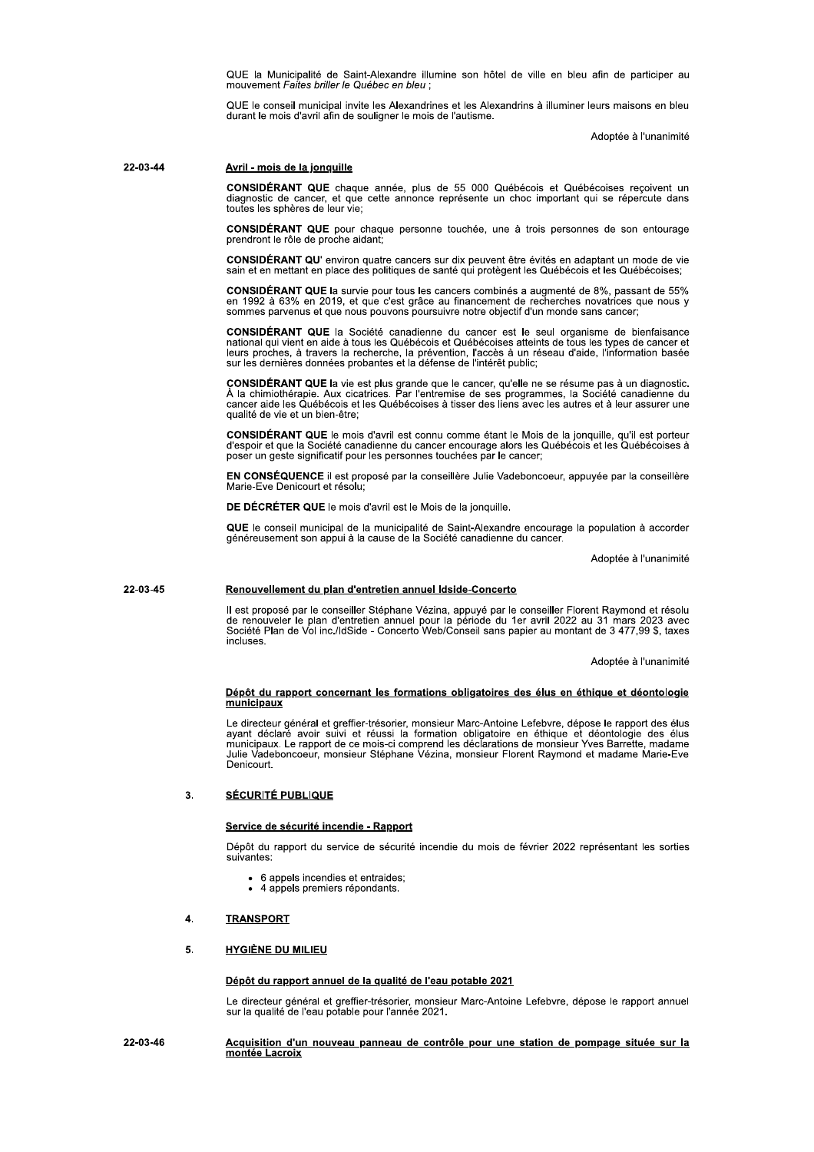QUE la Municipalité de Saint-Alexandre illumine son hôtel de ville en bleu afin de participer au mouvement Faites briller le Québec en bleu;

QUE le conseil municipal invite les Alexandrines et les Alexandrins à illuminer leurs maisons en bleu durant le mois d'avril afin de souligner le mois de l'autisme.

Adoptée à l'unanimité

22-03-44

## Avril - mois de la jonquille

CONSIDÉRANT QUE chaque année, plus de 55 000 Québécois et Québécoises reçoivent un diagnostic de cancer, et que cette annonce représente un choc important qui se répercute dans toutes les sphères de leur vie:

CONSIDÉRANT QUE pour chaque personne touchée, une à trois personnes de son entourage prendront le rôle de proche aidant:

CONSIDÉRANT QU' environ quatre cancers sur dix peuvent être évités en adaptant un mode de vie sain et en mettant en place des politiques de santé qui protègent les Québécois et les Québécoises;

CONSIDÉRANT QUE la survie pour tous les cancers combinés a augmenté de 8%, passant de 55% en 1992 à 63% en 2019, et que c'est grâce au financement de recherches novatrices que nous y<br>sommes parvenus et que nous pouvons poursuivre notre objectif d'un monde sans cancer;

**CONSIDÉRANT QUE** la Société canadienne du cancer est le seul organisme de bienfaisance **Detectional qui vient en aide à tous les Québécois et Québécoises atteints de tous les types de cancer et** leurs proches, à travers la recherche, la prévention, l'accès à un réseau d'aide, l'information basée sur les dernières données probantes et la défense de l'intérêt public;

CONSIDÉRANT QUE la vie est plus grande que le cancer, qu'elle ne se résume pas à un diagnostic.<br>À la chimiothérapie. Aux cicatrices. Par l'entremise de ses programmes, la Société canadienne du<br>cancer aide les Québécois et qualité de vie et un bien-être;

CONSIDÉRANT QUE le mois d'avril est connu comme étant le Mois de la jonquille, qu'il est porteur d'espoir et que la Société canadienne du cancer encourage alors les Québécois et les Québécoises à poser un geste significatif pour les personnes touchées par le cancer;

EN CONSÉQUENCE il est proposé par la conseillère Julie Vadeboncoeur, appuyée par la conseillère Marie-Eve Denicourt et résolu;

DE DÉCRÉTER QUE le mois d'avril est le Mois de la jonquille.

QUE le conseil municipal de la municipalité de Saint-Alexandre encourage la population à accorder généreusement son appui à la cause de la Société canadienne du cancer.

Adoptée à l'unanimité

### 22-03-45 Renouvellement du plan d'entretien annuel Idside-Concerto

Il est proposé par le conseiller Stéphane Vézina, appuyé par le conseiller Florent Raymond et résolu de renouveler le plan d'entretien annuel pour la période du 1er avril 2022 au 31 mars 2023 avec<br>Société Plan de Vol inc./IdSide - Concerto Web/Conseil sans papier au montant de 3 477,99 \$, taxes incluses

Adoptée à l'unanimité

### Dépôt du rapport concernant les formations obligatoires des élus en éthique et déontologie municipaux

Le directeur général et greffier-trésorier, monsieur Marc-Antoine Lefebvre, dépose le rapport des élus ayant déclaré avoir suivi et réussi la formation obligatoire en éthique et déontologie des élus municipaux. Le rapport Denicourt.

### **SÉCURITÉ PUBLIQUE**  $\overline{3}$ .

### Service de sécurité incendie - Rapport

Dépôt du rapport du service de sécurité incendie du mois de février 2022 représentant les sorties suivantes:

- 6 appels incendies et entraides;
- 4 appels premiers répondants.

### **TRANSPORT**  $\mathbf{A}$

### $\overline{5}$ . **HYGIÈNE DU MILIEU**

## Dépôt du rapport annuel de la qualité de l'eau potable 2021

Le directeur général et greffier-trésorier, monsieur Marc-Antoine Lefebvre, dépose le rapport annuel sur la qualité de l'eau potable pour l'année 2021.

### 22-03-46 Acquisition d'un nouveau panneau de contrôle pour une station de pompage située sur la montée Lacroix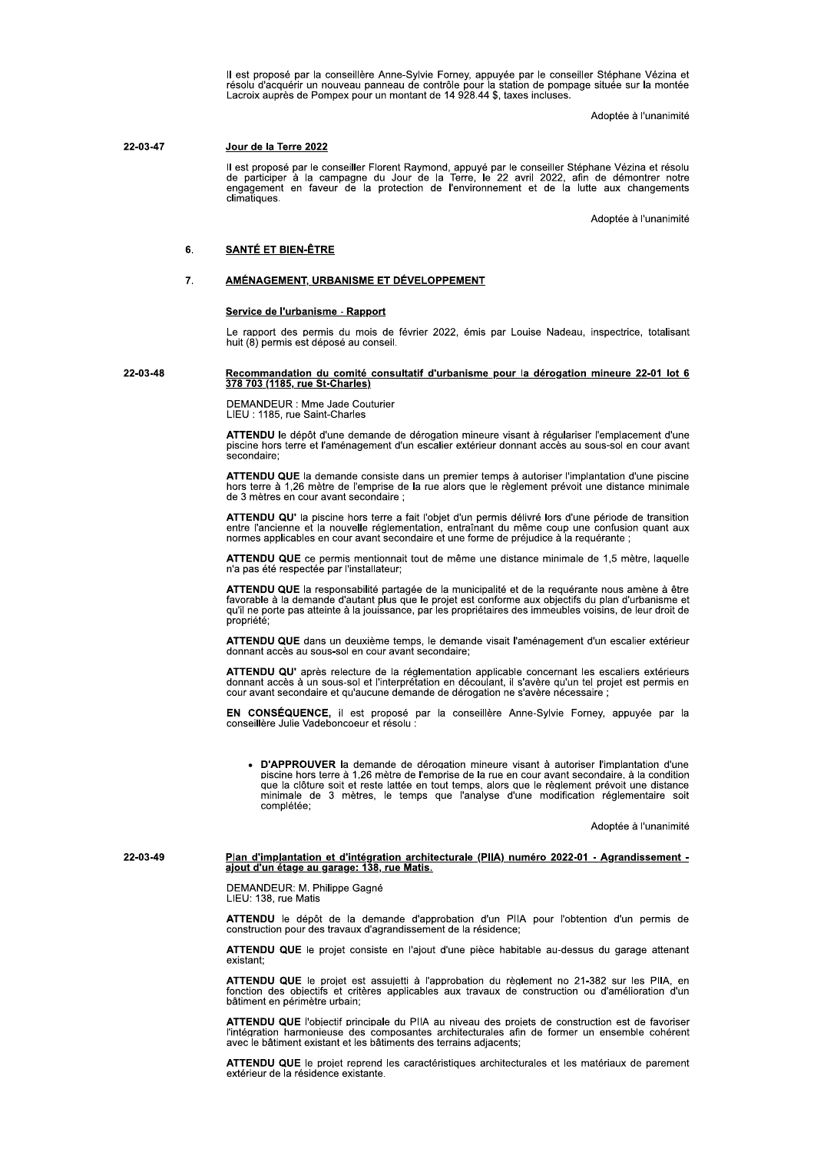Il est proposé par la conseillère Anne-Sylvie Forney, appuyée par le conseiller Stéphane Vézina et<br>résolu d'acquérir un nouveau panneau de contrôle pour la station de pompage située sur la montée<br>Lacroix auprès de Pompex p

Adoptée à l'unanimité

### 22-03-47 Jour de la Terre 2022

Il est proposé par le conseiller Florent Raymond, appuyé par le conseiller Stéphane Vézina et résolu de participer à la campagne du Jour de la Terre, le 22 avril 2022, afin de démontrer notre engagement en faveur de la pro climatiques

Adoptée à l'unanimité

### **SANTÉ ET BIEN-ÊTRE**  $6.$

### AMÉNAGEMENT, URBANISME ET DÉVELOPPEMENT 7.

## Service de l'urbanisme - Rapport

Le rapport des permis du mois de février 2022, émis par Louise Nadeau, inspectrice, totalisant huit (8) permis est déposé au conseil.

### 22-03-48 Recommandation du comité consultatif d'urbanisme pour la dérogation mineure 22-01 lot 6 378 703 (1185, rue St-Charles)

DEMANDEUR : Mme Jade Couturier LIEU : 1185, rue Saint-Charles

ATTENDU le dépôt d'une demande de dérogation mineure visant à régulariser l'emplacement d'une piscine hors terre et l'aménagement d'un escalier extérieur donnant accès au sous-sol en cour avant secondaire:

ATTENDU QUE la demande consiste dans un premier temps à autoriser l'implantation d'une piscine hors terre à 1,26 mètre de l'emprise de la rue alors que le règlement prévoit une distance minimale de 3 mètres en cour avant secondaire :

ATTENDU QU' la piscine hors terre a fait l'objet d'un permis délivré lors d'une période de transition entre l'ancienne et la nouvelle réglementation, entraînant du même coup une confusion quant aux normes applicables en cour avant secondaire et une forme de préjudice à la requérante ;

ATTENDU QUE ce permis mentionnait tout de même une distance minimale de 1,5 mètre, laquelle n'a pas été respectée par l'installateur;

ATTENDU QUE la responsabilité partagée de la municipalité et de la requérante nous amène à être favorable à la demande d'autant plus que le projet est conforme aux objectifs du plan d'urbanisme et qu'il ne porte pas attein propriété;

ATTENDU QUE dans un deuxième temps, le demande visait l'aménagement d'un escalier extérieur donnant accès au sous-sol en cour avant secondaire;

ATTENDU QU' après relecture de la réglementation applicable concernant les escaliers extérieurs Access à un sous-sol et l'interprétation en découlant, il s'avère qu'un tel projet est permis en<br>cour avant secondaire et qu'aucune demande de dérogation ne s'avère qu'un tel projet est permis en<br>cour avant secondaire et q

EN CONSÉQUENCE, il est proposé par la conseillère Anne-Sylvie Forney, appuyée par la conseillère Julie Vadeboncoeur et résolu :

D'APPROUVER la demande de dérogation mineure visant à autoriser l'implantation d'une piscine hors terre à 1,26 mètre de l'emprise de la rue en cour avant secondaire, à la condition sue la clôture soit et reste lattée en tout temps, alors que le règlement prévoit une distance<br>minimale de 3 mètres, le temps que l'analyse d'une modification réglementaire soit complétée;

Adoptée à l'unanimité

22-03-49

Plan d'implantation et d'intégration architecturale (PIIA) numéro 2022-01 - Agrandissement -<br>ajout d'un étage au garage: 138, rue Matis.

DEMANDEUR: M. Philippe Gagné LIEU: 138, rue Matis

ATTENDU le dépôt de la demande d'approbation d'un PIIA pour l'obtention d'un permis de construction pour des travaux d'agrandissement de la résidence;

ATTENDU QUE le projet consiste en l'ajout d'une pièce habitable au-dessus du garage attenant existant;

ATTENDU QUE le projet est assujetti à l'approbation du règlement no 21-382 sur les PIIA, en fonction des objectifs et critères applicables aux travaux de construction ou d'amélioration d'un bâtiment en périmètre urbain;

ATTENDU QUE l'obiectif principale du PIIA au niveau des proiets de construction est de favoriser l'intégration harmonieuse des composantes architecturales afin de former un ensemble cohérent avec le bâtiment existant et les bâtiments des terrains adjacents;

ATTENDU QUE le projet reprend les caractéristiques architecturales et les matériaux de parement extérieur de la résidence existante.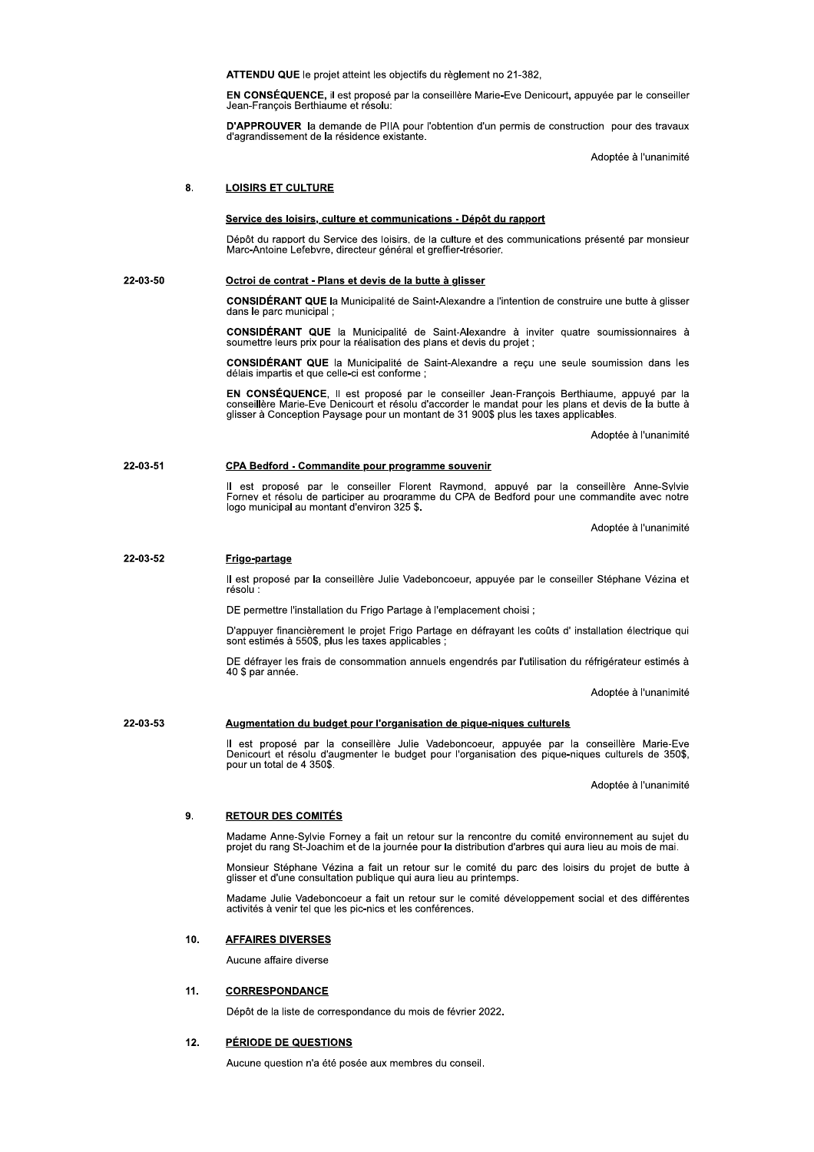ATTENDU QUE le projet atteint les objectifs du règlement no 21-382.

EN CONSÉQUENCE, il est proposé par la conseillère Marie-Eve Denicourt, appuyée par le conseiller Jean-Francois Berthiaume et résolu.

D'APPROUVER la demande de PIIA pour l'obtention d'un permis de construction pour des travaux d'agrandissement de la résidence existante.

Adoptée à l'unanimité

### 8. **LOISIRS ET CULTURE**

## Service des loisirs, culture et communications - Dépôt du rapport

Dépôt du rapport du Service des loisirs, de la culture et des communications présenté par monsieur Marc-Antoine Lefebvre, directeur général et greffier-trésorier.

### 22-03-50 Octroi de contrat - Plans et devis de la butte à glisser

CONSIDÉRANT QUE la Municipalité de Saint-Alexandre a l'intention de construire une butte à glisser dans le parc municipal :

**CONSIDÉRANT QUE** la Municipalité de Saint-Alexandre à inviter quatre soumissionnaires à soumettre leurs prix pour la réalisation des plans et devis du projet ;

CONSIDÉRANT QUE la Municipalité de Saint-Alexandre a reçu une seule soumission dans les délais impartis et que celle-ci est conforme :

EN CONSÉQUENCE, Il est proposé par le conseiller Jean-François Berthiaume, appuyé par la<br>conseillère Marie-Eve Denicourt et résolu d'accorder le mandat pour les plans et devis de la butte à glisser à Conception Paysage pour un montant de 31 900\$ plus les taxes applicables.

Adoptée à l'unanimité

### 22-03-51 CPA Bedford - Commandite pour programme souvenir

Il est proposé par le conseiller Florent Raymond, appuyé par la conseillère Anne-Sylvie<br>Forney et résolu de participer au programme du CPA de Bedford pour une commandite avec notre logo municipal au montant d'environ 325 \$.

Adoptée à l'unanimité

### 22-03-52 Frigo-partage

Il est proposé par la conseillère Julie Vadeboncoeur, appuyée par le conseiller Stéphane Vézina et résolu :

DE permettre l'installation du Frigo Partage à l'emplacement choisi ;

D'appuyer financièrement le projet Frigo Partage en défrayant les coûts d' installation électrique qui sont estimés à 550\$, plus les taxes applicables ;

DE défraver les frais de consommation annuels engendrés par l'utilisation du réfrigérateur estimés à 40 \$ par année.

Adoptée à l'unanimité

### 22-03-53 Augmentation du budget pour l'organisation de pique-niques culturels

Il est proposé par la conseillère Julie Vadeboncoeur, appuyée par la conseillère Marie-Eve<br>Denicourt et résolu d'augmenter le budget pour l'organisation des pique-niques culturels de 350\$, pour un total de 4 350\$.

Adoptée à l'unanimité

### $\mathbf{q}$ **RETOUR DES COMITÉS**

Madame Anne-Sylvie Forney a fait un retour sur la rencontre du comité environnement au sujet du projet du rang St-Joachim et de la journée pour la distribution d'arbres qui aura lieu au mois de mai.

Monsieur Stéphane Vézina a fait un retour sur le comité du parc des loisirs du projet de butte à glisser et d'une consultation publique qui aura lieu au printemps.

Madame Julie Vadeboncoeur a fait un retour sur le comité développement social et des différentes activités à venir tel que les pic-nics et les conférences.

### $10<sub>1</sub>$ **AFFAIRES DIVERSES**

Aucune affaire diverse

### $11.$ **CORRESPONDANCE**

Dépôt de la liste de correspondance du mois de février 2022.

### $12.$ PÉRIODE DE QUESTIONS

Aucune question n'a été posée aux membres du conseil.